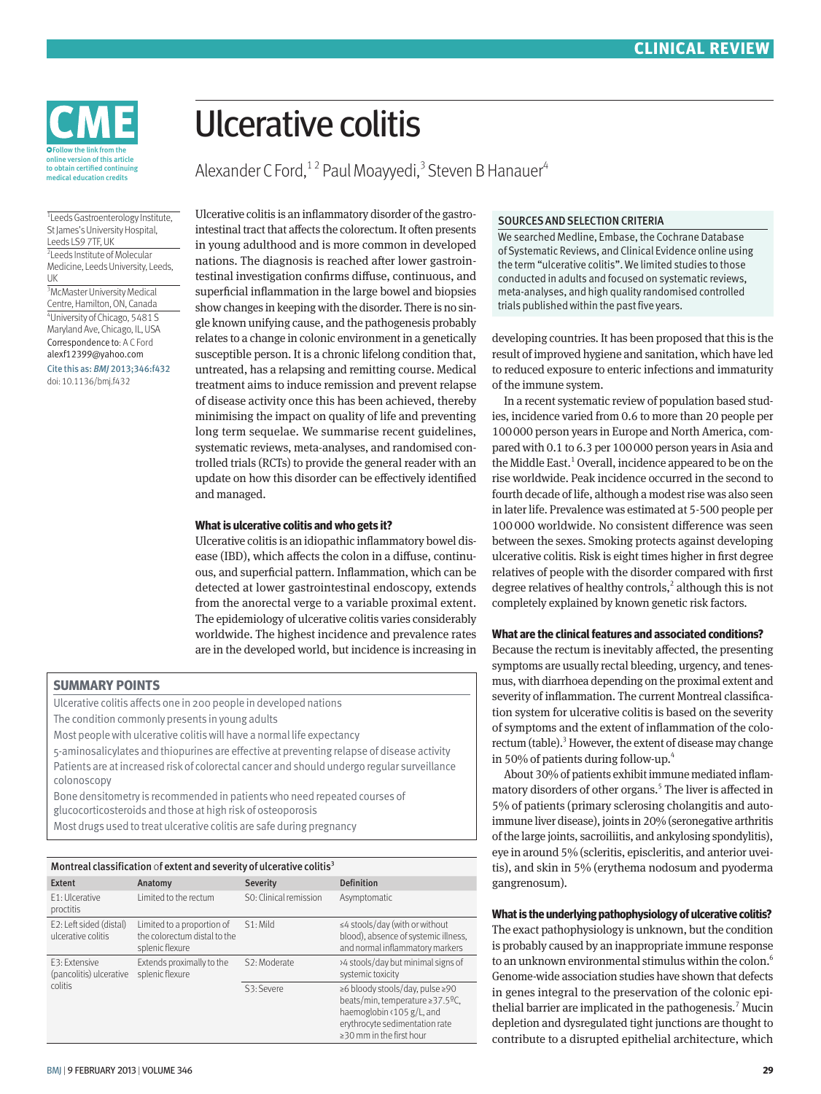

# Ulcerative colitis

Alexander C Ford,<sup>12</sup> Paul Moayyedi,<sup>3</sup> Steven B Hanauer<sup>4</sup>

1 Leeds Gastroenterology Institute, St James's University Hospital, Leeds LS9 7TF, UK

2 Leeds Institute of Molecular Medicine, Leeds University, Leeds, UK

<sup>3</sup>McMaster University Medical Centre, Hamilton, ON, Canada 4 University of Chicago, 5481 S Maryland Ave, Chicago, IL, USA Correspondence to: A C Ford alexf12399@yahoo.com

Cite this as: *BMJ* 2013;346:f432 doi: 10.1136/bmj.f432

Ulcerative colitis is an inflammatory disorder of the gastrointestinal tract that affects the colorectum. It often presents in young adulthood and is more common in developed nations. The diagnosis is reached after lower gastrointestinal investigation confirms diffuse, continuous, and superficial inflammation in the large bowel and biopsies show changes in keeping with the disorder. There is no single known unifying cause, and the pathogenesis probably relates to a change in colonic environment in a genetically susceptible person. It is a chronic lifelong condition that, untreated, has a relapsing and remitting course. Medical treatment aims to induce remission and prevent relapse of disease activity once this has been achieved, thereby minimising the impact on quality of life and preventing long term sequelae. We summarise recent guidelines, systematic reviews, meta-analyses, and randomised controlled trials (RCTs) to provide the general reader with an update on how this disorder can be effectively identified and managed.

#### **What is ulcerative colitis and who gets it?**

Ulcerative colitis is an idiopathic inflammatory bowel disease (IBD), which affects the colon in a diffuse, continuous, and superficial pattern. Inflammation, which can be detected at lower gastrointestinal endoscopy, extends from the anorectal verge to a variable proximal extent. The epidemiology of ulcerative colitis varies considerably worldwide. The highest incidence and prevalence rates are in the developed world, but incidence is increasing in

#### **SUMMARY POINTS**

Ulcerative colitis affects one in 200 people in developed nations

The condition commonly presents in young adults

Most people with ulcerative colitis will have a normal life expectancy

5-aminosalicylates and thiopurines are effective at preventing relapse of disease activity Patients are at increased risk of colorectal cancer and should undergo regular surveillance colonoscopy

Bone densitometry is recommended in patients who need repeated courses of glucocorticosteroids and those at high risk of osteoporosis

| Montreal classification of extent and severity of ulcerative colitis <sup>3</sup> |                                                                               |                           |                                                                                                                                                                     |
|-----------------------------------------------------------------------------------|-------------------------------------------------------------------------------|---------------------------|---------------------------------------------------------------------------------------------------------------------------------------------------------------------|
| Extent                                                                            | Anatomy                                                                       | <b>Severity</b>           | <b>Definition</b>                                                                                                                                                   |
| F1: Ulcerative<br>proctitis                                                       | I imited to the rectum                                                        | S0: Clinical remission    | Asymptomatic                                                                                                                                                        |
| E2: Left sided (distal)<br>ulcerative colitis                                     | Limited to a proportion of<br>the colorectum distal to the<br>splenic flexure | $S1:$ Mild                | $\leq$ 4 stools/day (with or without<br>blood), absence of systemic illness,<br>and normal inflammatory markers                                                     |
| F3: Extensive<br>(pancolitis) ulcerative<br>colitis                               | Extends proximally to the<br>splenic flexure                                  | S <sub>2</sub> : Moderate | >4 stools/day but minimal signs of<br>systemic toxicity                                                                                                             |
|                                                                                   |                                                                               | S3: Severe                | ≥6 bloody stools/day, pulse ≥90<br>beats/min, temperature ≥37.5ºC,<br>haemoglobin <105 g/L, and<br>erythrocyte sedimentation rate<br>$\geq$ 30 mm in the first hour |

#### SOURCES AND SELECTION CRITERIA

We searched Medline, Embase, the Cochrane Database of Systematic Reviews, and Clinical Evidence online using the term "ulcerative colitis". We limited studies to those conducted in adults and focused on systematic reviews, meta-analyses, and high quality randomised controlled trials published within the past five years.

developing countries. It has been proposed that this is the result of improved hygiene and sanitation, which have led to reduced exposure to enteric infections and immaturity of the immune system.

In a recent systematic review of population based studies, incidence varied from 0.6 to more than 20 people per 100000 person years in Europe and North America, compared with 0.1 to 6.3 per 100000 person years in Asia and the Middle East.<sup>1</sup> Overall, incidence appeared to be on the rise worldwide. Peak incidence occurred in the second to fourth decade of life, although a modest rise was also seen in later life. Prevalence was estimated at 5-500 people per 100000 worldwide. No consistent difference was seen between the sexes. Smoking protects against developing ulcerative colitis. Risk is eight times higher in first degree relatives of people with the disorder compared with first degree relatives of healthy controls,<sup>2</sup> although this is not completely explained by known genetic risk factors.

#### **What are the clinical features and associated conditions?**

Because the rectum is inevitably affected, the presenting symptoms are usually rectal bleeding, urgency, and tenesmus, with diarrhoea depending on the proximal extent and severity of inflammation. The current Montreal classification system for ulcerative colitis is based on the severity of symptoms and the extent of inflammation of the colorectum (table).<sup>3</sup> However, the extent of disease may change in 50% of patients during follow-up.4

About 30% of patients exhibit immune mediated inflammatory disorders of other organs.<sup>5</sup> The liver is affected in 5% of patients (primary sclerosing cholangitis and autoimmune liver disease), joints in 20% (seronegative arthritis of the large joints, sacroiliitis, and ankylosing spondylitis), eye in around 5% (scleritis, episcleritis, and anterior uveitis), and skin in 5% (erythema nodosum and pyoderma gangrenosum).

#### **What is the underlying pathophysiology of ulcerative colitis?**

The exact pathophysiology is unknown, but the condition is probably caused by an inappropriate immune response to an unknown environmental stimulus within the colon.<sup>6</sup> Genome-wide association studies have shown that defects in genes integral to the preservation of the colonic epithelial barrier are implicated in the pathogenesis.<sup>7</sup> Mucin depletion and dysregulated tight junctions are thought to contribute to a disrupted epithelial architecture, which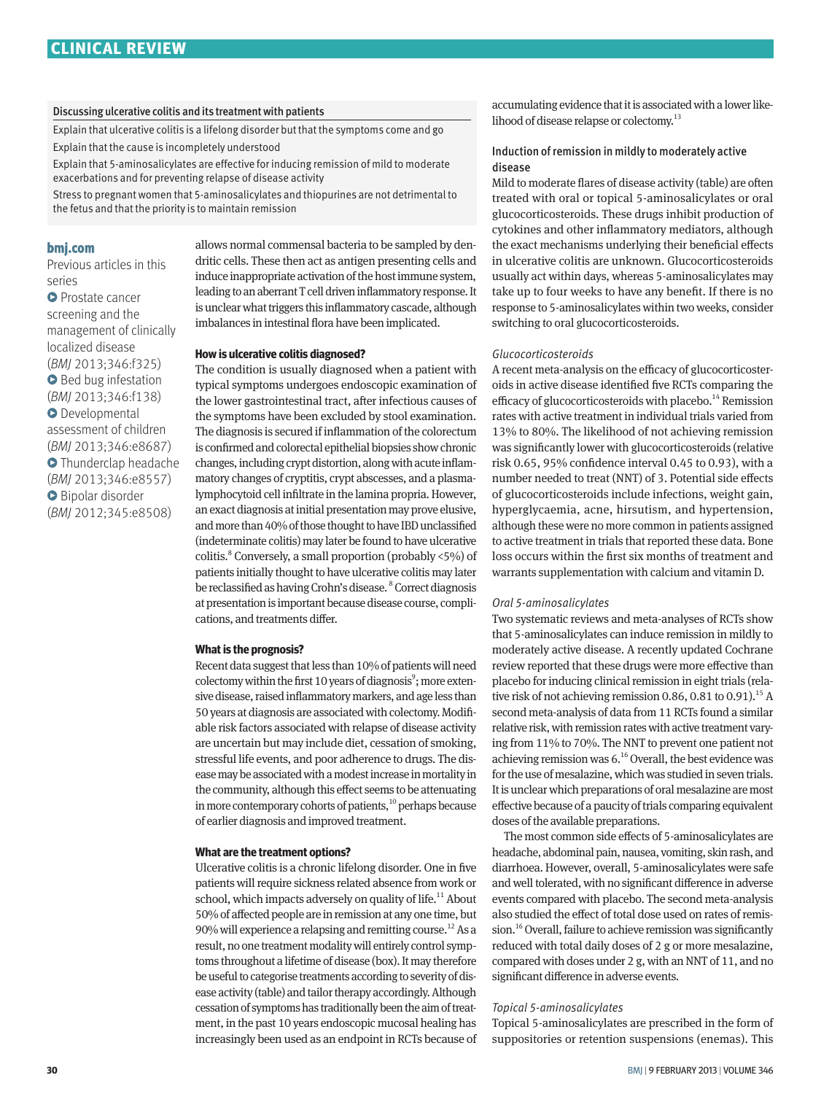#### Discussing ulcerative colitis and its treatment with patients

Explain that ulcerative colitis is a lifelong disorder but that the symptoms come and go Explain that the cause is incompletely understood

Explain that 5-aminosalicylates are effective for inducing remission of mild to moderate exacerbations and for preventing relapse of disease activity

Stress to pregnant women that 5-aminosalicylates and thiopurines are not detrimental to the fetus and that the priority is to maintain remission

#### **bmj.com**

Previous articles in this series **O** Prostate cancer screening and the management of clinically localized disease (*BMJ* 2013;346:f325) **•** Bed bug infestation (*BMJ* 2013;346:f138) **O** Developmental assessment of children (*BMJ* 2013;346:e8687) **O** Thunderclap headache (*BMJ* 2013;346:e8557) **Bipolar disorder** (*BMJ* 2012;345:e8508)

allows normal commensal bacteria to be sampled by dendritic cells. These then act as antigen presenting cells and induce inappropriate activation of the host immune system, leading to an aberrant T cell driven inflammatory response. It is unclear what triggers this inflammatory cascade, although imbalances in intestinal flora have been implicated.

#### **How is ulcerative colitis diagnosed?**

The condition is usually diagnosed when a patient with typical symptoms undergoes endoscopic examination of the lower gastrointestinal tract, after infectious causes of the symptoms have been excluded by stool examination. The diagnosis is secured if inflammation of the colorectum is confirmed and colorectal epithelial biopsies show chronic changes, including crypt distortion, along with acute inflammatory changes of cryptitis, crypt abscesses, and a plasmalymphocytoid cell infiltrate in the lamina propria. However, an exact diagnosis at initial presentation may prove elusive, and more than 40% of those thought to have IBD unclassified (indeterminate colitis) may later be found to have ulcerative colitis.<sup>8</sup> Conversely, a small proportion (probably <5%) of patients initially thought to have ulcerative colitis may later be reclassified as having Crohn's disease. <sup>8</sup> Correct diagnosis at presentation is important because disease course, complications, and treatments differ.

#### **What is the prognosis?**

Recent data suggest that less than 10% of patients will need colectomy within the first 10 years of diagnosis<sup>9</sup>; more extensive disease, raised inflammatory markers, and age less than 50 years at diagnosis are associated with colectomy. Modifiable risk factors associated with relapse of disease activity are uncertain but may include diet, cessation of smoking, stressful life events, and poor adherence to drugs. The disease may be associated with a modest increase in mortality in the community, although this effect seems to be attenuating in more contemporary cohorts of patients, $10$  perhaps because of earlier diagnosis and improved treatment.

#### **What are the treatment options?**

Ulcerative colitis is a chronic lifelong disorder. One in five patients will require sickness related absence from work or school, which impacts adversely on quality of life.<sup>11</sup> About 50% of affected people are in remission at any one time, but 90% will experience a relapsing and remitting course.<sup>12</sup> As a result, no one treatment modality will entirely control symptoms throughout a lifetime of disease (box). It may therefore be useful to categorise treatments according to severity of disease activity (table) and tailor therapy accordingly. Although cessation of symptoms has traditionally been the aim of treatment, in the past 10 years endoscopic mucosal healing has increasingly been used as an endpoint in RCTs because of accumulating evidence that it is associated with a lower likelihood of disease relapse or colectomy.<sup>13</sup>

#### Induction of remission in mildly to moderately active disease

Mild to moderate flares of disease activity (table) are often treated with oral or topical 5-aminosalicylates or oral glucocorticosteroids. These drugs inhibit production of cytokines and other inflammatory mediators, although the exact mechanisms underlying their beneficial effects in ulcerative colitis are unknown. Glucocorticosteroids usually act within days, whereas 5-aminosalicylates may take up to four weeks to have any benefit. If there is no response to 5-aminosalicylates within two weeks, consider switching to oral glucocorticosteroids.

#### *Glucocorticosteroids*

A recent meta-analysis on the efficacy of glucocorticosteroids in active disease identified five RCTs comparing the efficacy of glucocorticosteroids with placebo.<sup>14</sup> Remission rates with active treatment in individual trials varied from 13% to 80%. The likelihood of not achieving remission was significantly lower with glucocorticosteroids (relative risk 0.65, 95% confidence interval 0.45 to 0.93), with a number needed to treat (NNT) of 3. Potential side effects of glucocorticosteroids include infections, weight gain, hyperglycaemia, acne, hirsutism, and hypertension, although these were no more common in patients assigned to active treatment in trials that reported these data. Bone loss occurs within the first six months of treatment and warrants supplementation with calcium and vitamin D.

#### *Oral 5-aminosalicylates*

Two systematic reviews and meta-analyses of RCTs show that 5-aminosalicylates can induce remission in mildly to moderately active disease. A recently updated Cochrane review reported that these drugs were more effective than placebo for inducing clinical remission in eight trials (relative risk of not achieving remission 0.86, 0.81 to 0.91).<sup>15</sup> A second meta-analysis of data from 11 RCTs found a similar relative risk, with remission rates with active treatment varying from 11% to 70%. The NNT to prevent one patient not achieving remission was 6.16 Overall, the best evidence was for the use of mesalazine, which was studied in seven trials. It is unclear which preparations of oral mesalazine are most effective because of a paucity of trials comparing equivalent doses of the available preparations.

The most common side effects of 5-aminosalicylates are headache, abdominal pain, nausea, vomiting, skin rash, and diarrhoea. However, overall, 5-aminosalicylates were safe and well tolerated, with no significant difference in adverse events compared with placebo. The second meta-analysis also studied the effect of total dose used on rates of remission.<sup>16</sup> Overall, failure to achieve remission was significantly reduced with total daily doses of 2 g or more mesalazine, compared with doses under 2 g, with an NNT of 11, and no significant difference in adverse events.

#### *Topical 5-aminosalicylates*

Topical 5-aminosalicylates are prescribed in the form of suppositories or retention suspensions (enemas). This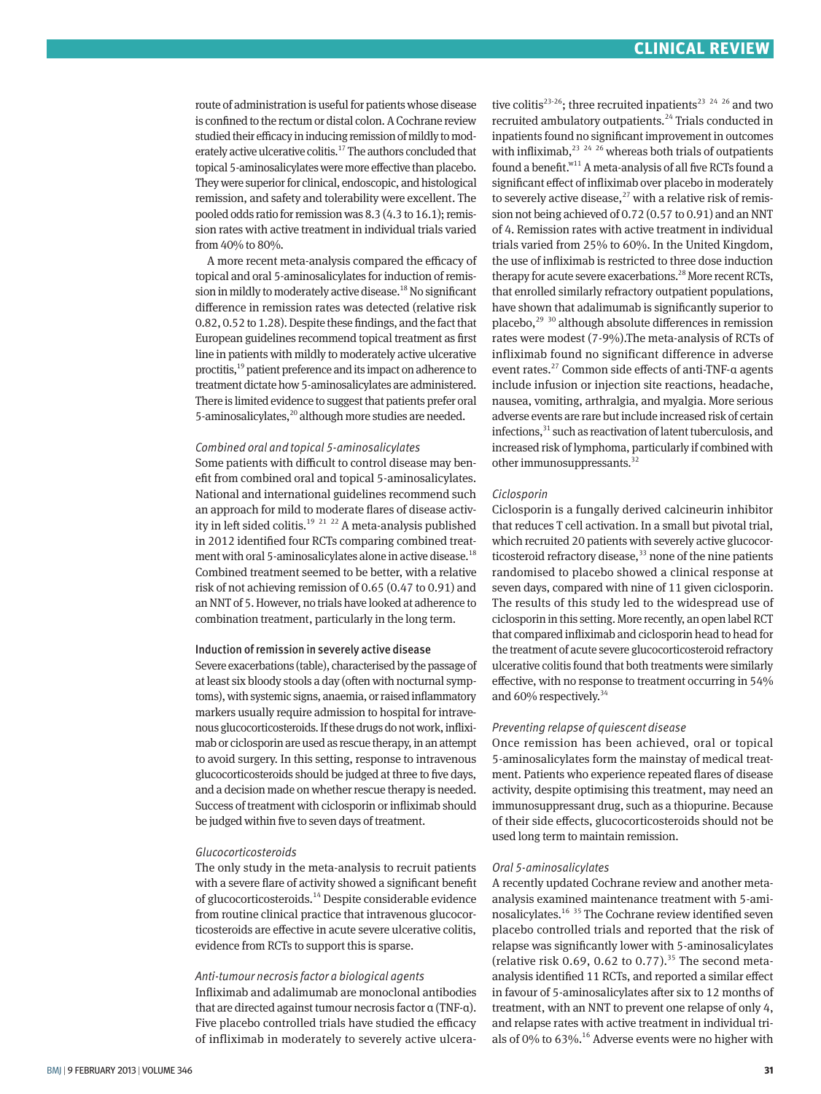route of administration is useful for patients whose disease is confined to the rectum or distal colon. A Cochrane review studied their efficacy in inducing remission of mildly to moderately active ulcerative colitis.<sup>17</sup> The authors concluded that topical 5-aminosalicylates were more effective than placebo. They were superior for clinical, endoscopic, and histological remission, and safety and tolerability were excellent. The pooled odds ratio for remission was 8.3 (4.3 to 16.1); remission rates with active treatment in individual trials varied from 40% to 80%.

A more recent meta-analysis compared the efficacy of topical and oral 5-aminosalicylates for induction of remission in mildly to moderately active disease.<sup>18</sup> No significant difference in remission rates was detected (relative risk 0.82, 0.52 to 1.28). Despite these findings, and the fact that European guidelines recommend topical treatment as first line in patients with mildly to moderately active ulcerative proctitis,<sup>19</sup> patient preference and its impact on adherence to treatment dictate how 5-aminosalicylates are administered. There is limited evidence to suggest that patients prefer oral 5-aminosalicylates,<sup>20</sup> although more studies are needed.

#### *Combined oral and topical 5-aminosalicylates*

Some patients with difficult to control disease may benefit from combined oral and topical 5-aminosalicylates. National and international guidelines recommend such an approach for mild to moderate flares of disease activity in left sided colitis.<sup>19</sup> <sup>21</sup> 22 A meta-analysis published in 2012 identified four RCTs comparing combined treatment with oral 5-aminosalicylates alone in active disease.<sup>18</sup> Combined treatment seemed to be better, with a relative risk of not achieving remission of 0.65 (0.47 to 0.91) and an NNT of 5. However, no trials have looked at adherence to combination treatment, particularly in the long term.

#### Induction of remission in severely active disease

Severe exacerbations (table), characterised by the passage of at least six bloody stools a day (often with nocturnal symptoms), with systemic signs, anaemia, or raised inflammatory markers usually require admission to hospital for intravenous glucocorticosteroids. If these drugs do not work, infliximab or ciclosporin are used as rescue therapy, in an attempt to avoid surgery. In this setting, response to intravenous glucocorticosteroids should be judged at three to five days, and a decision made on whether rescue therapy is needed. Success of treatment with ciclosporin or infliximab should be judged within five to seven days of treatment.

#### *Glucocorticosteroids*

The only study in the meta-analysis to recruit patients with a severe flare of activity showed a significant benefit of glucocorticosteroids.14 Despite considerable evidence from routine clinical practice that intravenous glucocorticosteroids are effective in acute severe ulcerative colitis, evidence from RCTs to support this is sparse.

#### *Anti-tumour necrosis factor α biological agents*

Infliximab and adalimumab are monoclonal antibodies that are directed against tumour necrosis factor α (TNF-α). Five placebo controlled trials have studied the efficacy of infliximab in moderately to severely active ulcerative colitis<sup>23-26</sup>; three recruited inpatients<sup>23–24–26</sup> and two recruited ambulatory outpatients.<sup>24</sup> Trials conducted in inpatients found no significant improvement in outcomes with infliximab,  $23 \times 24 \times 26$  whereas both trials of outpatients found a benefit. $N^{11}$  A meta-analysis of all five RCTs found a significant effect of infliximab over placebo in moderately to severely active disease, $^{27}$  with a relative risk of remission not being achieved of 0.72 (0.57 to 0.91) and an NNT of 4. Remission rates with active treatment in individual trials varied from 25% to 60%. In the United Kingdom, the use of infliximab is restricted to three dose induction therapy for acute severe exacerbations.<sup>28</sup> More recent RCTs, that enrolled similarly refractory outpatient populations, have shown that adalimumab is significantly superior to placebo, $^{29}$ <sup>30</sup> although absolute differences in remission rates were modest (7-9%).The meta-analysis of RCTs of infliximab found no significant difference in adverse event rates.<sup>27</sup> Common side effects of anti-TNF-α agents include infusion or injection site reactions, headache, nausea, vomiting, arthralgia, and myalgia. More serious adverse events are rare but include increased risk of certain infections,<sup>31</sup> such as reactivation of latent tuberculosis, and increased risk of lymphoma, particularly if combined with other immunosuppressants.<sup>32</sup>

#### *Ciclosporin*

Ciclosporin is a fungally derived calcineurin inhibitor that reduces T cell activation. In a small but pivotal trial, which recruited 20 patients with severely active glucocorticosteroid refractory disease,<sup>33</sup> none of the nine patients randomised to placebo showed a clinical response at seven days, compared with nine of 11 given ciclosporin. The results of this study led to the widespread use of ciclosporin in this setting. More recently, an open label RCT that compared infliximab and ciclosporin head to head for the treatment of acute severe glucocorticosteroid refractory ulcerative colitis found that both treatments were similarly effective, with no response to treatment occurring in 54% and 60% respectively.<sup>34</sup>

#### *Preventing relapse of quiescent disease*

Once remission has been achieved, oral or topical 5-aminosalicylates form the mainstay of medical treatment. Patients who experience repeated flares of disease activity, despite optimising this treatment, may need an immunosuppressant drug, such as a thiopurine. Because of their side effects, glucocorticosteroids should not be used long term to maintain remission.

#### *Oral 5-aminosalicylates*

A recently updated Cochrane review and another metaanalysis examined maintenance treatment with 5-aminosalicylates.16 35 The Cochrane review identified seven placebo controlled trials and reported that the risk of relapse was significantly lower with 5-aminosalicylates (relative risk 0.69, 0.62 to 0.77).<sup>35</sup> The second metaanalysis identified 11 RCTs, and reported a similar effect in favour of 5-aminosalicylates after six to 12 months of treatment, with an NNT to prevent one relapse of only 4, and relapse rates with active treatment in individual trials of 0% to 63%.<sup>16</sup> Adverse events were no higher with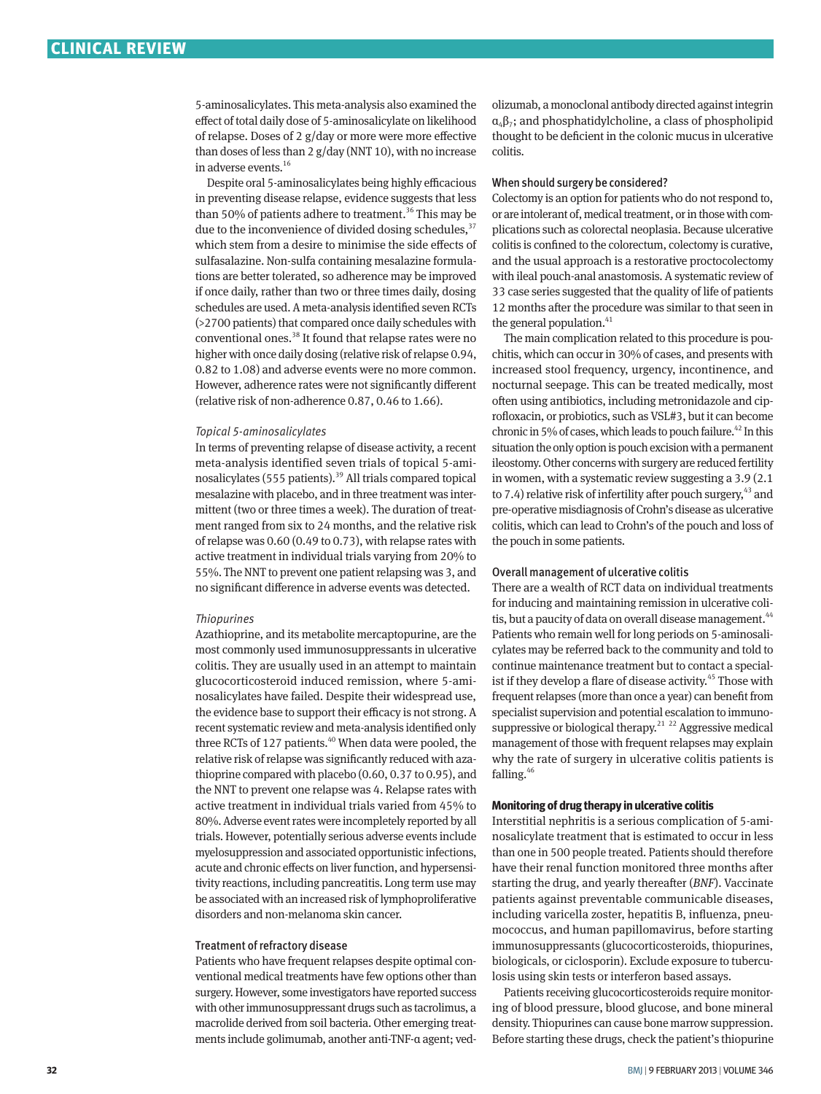5-aminosalicylates. This meta-analysis also examined the effect of total daily dose of 5-aminosalicylate on likelihood of relapse. Doses of 2 g/day or more were more effective than doses of less than 2 g/day (NNT 10), with no increase in adverse events.16

Despite oral 5-aminosalicylates being highly efficacious in preventing disease relapse, evidence suggests that less than 50% of patients adhere to treatment.<sup>36</sup> This may be due to the inconvenience of divided dosing schedules,  $37$ which stem from a desire to minimise the side effects of sulfasalazine. Non-sulfa containing mesalazine formulations are better tolerated, so adherence may be improved if once daily, rather than two or three times daily, dosing schedules are used. A meta-analysis identified seven RCTs (>2700 patients) that compared once daily schedules with conventional ones.<sup>38</sup> It found that relapse rates were no higher with once daily dosing (relative risk of relapse 0.94, 0.82 to 1.08) and adverse events were no more common. However, adherence rates were not significantly different (relative risk of non-adherence 0.87, 0.46 to 1.66).

#### *Topical 5-aminosalicylates*

In terms of preventing relapse of disease activity, a recent meta-analysis identified seven trials of topical 5-aminosalicylates (555 patients). $39$  All trials compared topical mesalazine with placebo, and in three treatment was intermittent (two or three times a week). The duration of treatment ranged from six to 24 months, and the relative risk of relapse was 0.60 (0.49 to 0.73), with relapse rates with active treatment in individual trials varying from 20% to 55%. The NNT to prevent one patient relapsing was 3, and no significant difference in adverse events was detected.

#### *Thiopurines*

Azathioprine, and its metabolite mercaptopurine, are the most commonly used immunosuppressants in ulcerative colitis. They are usually used in an attempt to maintain glucocorticosteroid induced remission, where 5-aminosalicylates have failed. Despite their widespread use, the evidence base to support their efficacy is not strong. A recent systematic review and meta-analysis identified only three RCTs of 127 patients.<sup>40</sup> When data were pooled, the relative risk of relapse was significantly reduced with azathioprine compared with placebo (0.60, 0.37 to 0.95), and the NNT to prevent one relapse was 4. Relapse rates with active treatment in individual trials varied from 45% to 80%. Adverse event rates were incompletely reported by all trials. However, potentially serious adverse events include myelosuppression and associated opportunistic infections, acute and chronic effects on liver function, and hypersensitivity reactions, including pancreatitis. Long term use may be associated with an increased risk of lymphoproliferative disorders and non-melanoma skin cancer.

#### Treatment of refractory disease

Patients who have frequent relapses despite optimal conventional medical treatments have few options other than surgery. However, some investigators have reported success with other immunosuppressant drugs such as tacrolimus, a macrolide derived from soil bacteria. Other emerging treatments include golimumab, another anti-TNF-α agent; vedolizumab, a monoclonal antibody directed against integrin  $\alpha_4\beta_7$ ; and phosphatidylcholine, a class of phospholipid thought to be deficient in the colonic mucus in ulcerative colitis.

#### When should surgery be considered?

Colectomy is an option for patients who do not respond to, or are intolerant of, medical treatment, or in those with complications such as colorectal neoplasia. Because ulcerative colitis is confined to the colorectum, colectomy is curative, and the usual approach is a restorative proctocolectomy with ileal pouch-anal anastomosis. A systematic review of 33 case series suggested that the quality of life of patients 12 months after the procedure was similar to that seen in the general population. $41$ 

The main complication related to this procedure is pouchitis, which can occur in 30% of cases, and presents with increased stool frequency, urgency, incontinence, and nocturnal seepage. This can be treated medically, most often using antibiotics, including metronidazole and ciprofloxacin, or probiotics, such as VSL#3, but it can become chronic in 5% of cases, which leads to pouch failure.<sup>42</sup> In this situation the only option is pouch excision with a permanent ileostomy. Other concerns with surgery are reduced fertility in women, with a systematic review suggesting a 3.9 (2.1 to 7.4) relative risk of infertility after pouch surgery,  $43$  and pre-operative misdiagnosis of Crohn's disease as ulcerative colitis, which can lead to Crohn's of the pouch and loss of the pouch in some patients.

#### Overall management of ulcerative colitis

There are a wealth of RCT data on individual treatments for inducing and maintaining remission in ulcerative colitis, but a paucity of data on overall disease management.<sup>44</sup> Patients who remain well for long periods on 5-aminosalicylates may be referred back to the community and told to continue maintenance treatment but to contact a specialist if they develop a flare of disease activity.<sup>45</sup> Those with frequent relapses (more than once a year) can benefit from specialist supervision and potential escalation to immunosuppressive or biological therapy.<sup>21–22</sup> Aggressive medical management of those with frequent relapses may explain why the rate of surgery in ulcerative colitis patients is falling. $46$ 

#### **Monitoring of drug therapy in ulcerative colitis**

Interstitial nephritis is a serious complication of 5-aminosalicylate treatment that is estimated to occur in less than one in 500 people treated. Patients should therefore have their renal function monitored three months after starting the drug, and yearly thereafter (*BNF*). Vaccinate patients against preventable communicable diseases, including varicella zoster, hepatitis B, influenza, pneumococcus, and human papillomavirus, before starting immunosuppressants (glucocorticosteroids, thiopurines, biologicals, or ciclosporin). Exclude exposure to tuberculosis using skin tests or interferon based assays.

Patients receiving glucocorticosteroids require monitoring of blood pressure, blood glucose, and bone mineral density. Thiopurines can cause bone marrow suppression. Before starting these drugs, check the patient's thiopurine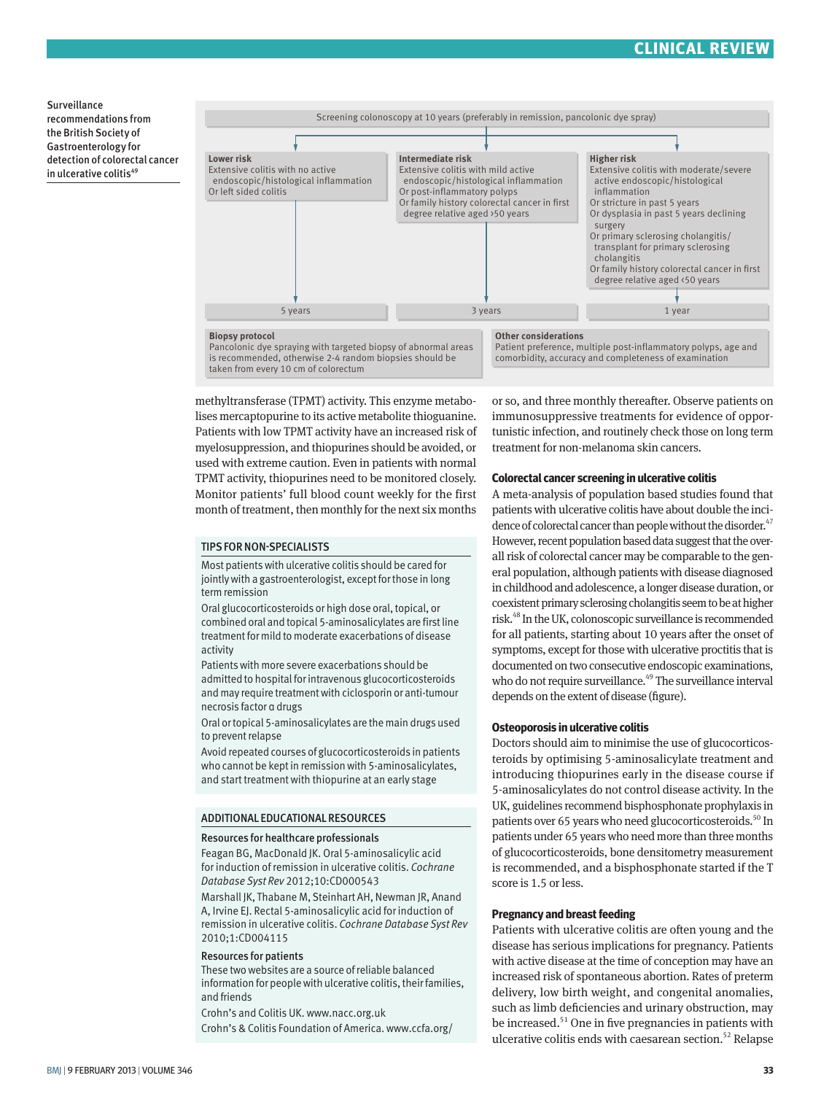## **CLINICAL REVIEW**

Surveillance recommendations from the British Society of Gastroenterology for detection of colorectal cancer in ulcerative colitis<sup>49</sup>



methyltransferase (TPMT) activity. This enzyme metabolises mercaptopurine to its active metabolite thioguanine. Patients with low TPMT activity have an increased risk of myelosuppression, and thiopurines should be avoided, or used with extreme caution. Even in patients with normal TPMT activity, thiopurines need to be monitored closely. Monitor patients' full blood count weekly for the first month of treatment, then monthly for the next six months

#### TIPS FOR NON-SPECIALISTS

Most patients with ulcerative colitis should be cared for jointly with a gastroenterologist, except for those in long term remission

Oral glucocorticosteroids or high dose oral, topical, or combined oral and topical 5-aminosalicylates are first line treatment for mild to moderate exacerbations of disease activity

Patients with more severe exacerbations should be admitted to hospital for intravenous glucocorticosteroids and may require treatment with ciclosporin or anti-tumour necrosis factor α drugs

Oral or topical 5-aminosalicylates are the main drugs used to prevent relapse

Avoid repeated courses of glucocorticosteroids in patients who cannot be kept in remission with 5-aminosalicylates, and start treatment with thiopurine at an early stage

#### ADDITIONAL EDUCATIONAL RESOURCES

#### Resources for healthcare professionals

Feagan BG, MacDonald JK. Oral 5-aminosalicylic acid for induction of remission in ulcerative colitis. *Cochrane Database Syst Rev* 2012;10:CD000543

Marshall JK, Thabane M, Steinhart AH, Newman JR, Anand A, Irvine EJ. Rectal 5-aminosalicylic acid for induction of remission in ulcerative colitis. *Cochrane Database Syst Rev* 2010;1:CD004115

#### Resources for patients

These two websites are a source of reliable balanced information for people with ulcerative colitis, their families, and friends

Crohn's and Colitis UK. www.nacc.org.uk Crohn's & Colitis Foundation of America. www.ccfa.org/ or so, and three monthly thereafter. Observe patients on immunosuppressive treatments for evidence of opportunistic infection, and routinely check those on long term treatment for non-melanoma skin cancers.

#### **Colorectal cancer screening in ulcerative colitis**

A meta-analysis of population based studies found that patients with ulcerative colitis have about double the incidence of colorectal cancer than people without the disorder.<sup>47</sup> However, recent population based data suggest that the overall risk of colorectal cancer may be comparable to the general population, although patients with disease diagnosed in childhood and adolescence, a longer disease duration, or coexistent primary sclerosing cholangitis seem to be at higher risk.48 In the UK, colonoscopic surveillance is recommended for all patients, starting about 10 years after the onset of symptoms, except for those with ulcerative proctitis that is documented on two consecutive endoscopic examinations, who do not require surveillance.<sup>49</sup> The surveillance interval depends on the extent of disease (figure).

#### **Osteoporosis in ulcerative colitis**

Doctors should aim to minimise the use of glucocorticosteroids by optimising 5-aminosalicylate treatment and introducing thiopurines early in the disease course if 5-aminosalicylates do not control disease activity. In the UK, guidelines recommend bisphosphonate prophylaxis in patients over 65 years who need glucocorticosteroids.<sup>50</sup> In patients under 65 years who need more than three months of glucocorticosteroids, bone densitometry measurement is recommended, and a bisphosphonate started if the T score is 1.5 or less.

#### **Pregnancy and breast feeding**

Patients with ulcerative colitis are often young and the disease has serious implications for pregnancy. Patients with active disease at the time of conception may have an increased risk of spontaneous abortion. Rates of preterm delivery, low birth weight, and congenital anomalies, such as limb deficiencies and urinary obstruction, may be increased.<sup>51</sup> One in five pregnancies in patients with ulcerative colitis ends with caesarean section.<sup>52</sup> Relapse